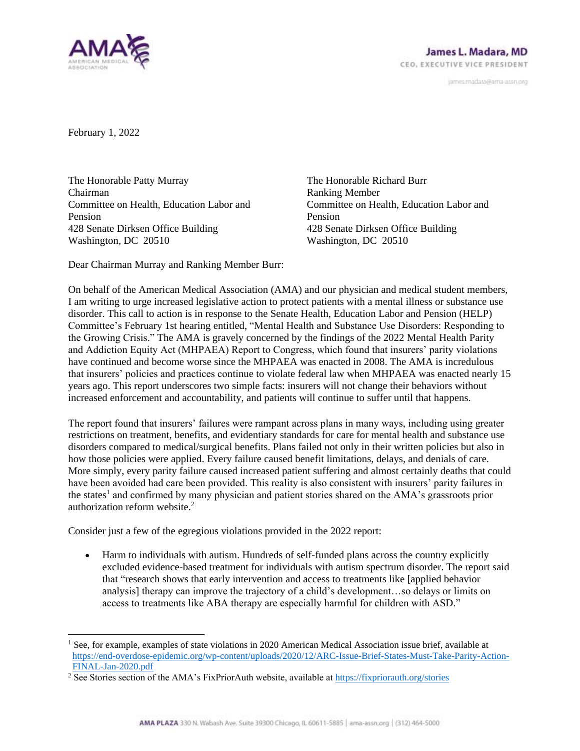

janves.madara@ama-assn.org

February 1, 2022

The Honorable Patty Murray Chairman Committee on Health, Education Labor and Pension 428 Senate Dirksen Office Building Washington, DC 20510

The Honorable Richard Burr Ranking Member Committee on Health, Education Labor and Pension 428 Senate Dirksen Office Building Washington, DC 20510

Dear Chairman Murray and Ranking Member Burr:

On behalf of the American Medical Association (AMA) and our physician and medical student members, I am writing to urge increased legislative action to protect patients with a mental illness or substance use disorder. This call to action is in response to the Senate Health, Education Labor and Pension (HELP) Committee's February 1st hearing entitled, "Mental Health and Substance Use Disorders: Responding to the Growing Crisis." The AMA is gravely concerned by the findings of the 2022 Mental Health Parity and Addiction Equity Act (MHPAEA) Report to Congress, which found that insurers' parity violations have continued and become worse since the MHPAEA was enacted in 2008. The AMA is incredulous that insurers' policies and practices continue to violate federal law when MHPAEA was enacted nearly 15 years ago. This report underscores two simple facts: insurers will not change their behaviors without increased enforcement and accountability, and patients will continue to suffer until that happens.

The report found that insurers' failures were rampant across plans in many ways, including using greater restrictions on treatment, benefits, and evidentiary standards for care for mental health and substance use disorders compared to medical/surgical benefits. Plans failed not only in their written policies but also in how those policies were applied. Every failure caused benefit limitations, delays, and denials of care. More simply, every parity failure caused increased patient suffering and almost certainly deaths that could have been avoided had care been provided. This reality is also consistent with insurers' parity failures in the states<sup>1</sup> and confirmed by many physician and patient stories shared on the AMA's grassroots prior authorization reform website. 2

Consider just a few of the egregious violations provided in the 2022 report:

• Harm to individuals with autism. Hundreds of self-funded plans across the country explicitly excluded evidence-based treatment for individuals with autism spectrum disorder. The report said that "research shows that early intervention and access to treatments like [applied behavior analysis] therapy can improve the trajectory of a child's development…so delays or limits on access to treatments like ABA therapy are especially harmful for children with ASD."

<sup>&</sup>lt;sup>1</sup> See, for example, examples of state violations in 2020 American Medical Association issue brief, available at [https://end-overdose-epidemic.org/wp-content/uploads/2020/12/ARC-Issue-Brief-States-Must-Take-Parity-Action-](https://end-overdose-epidemic.org/wp-content/uploads/2020/12/ARC-Issue-Brief-States-Must-Take-Parity-Action-FINAL-Jan-2020.pdf)[FINAL-Jan-2020.pdf](https://end-overdose-epidemic.org/wp-content/uploads/2020/12/ARC-Issue-Brief-States-Must-Take-Parity-Action-FINAL-Jan-2020.pdf)

<sup>&</sup>lt;sup>2</sup> See Stories section of the AMA's FixPriorAuth website, available at<https://fixpriorauth.org/stories>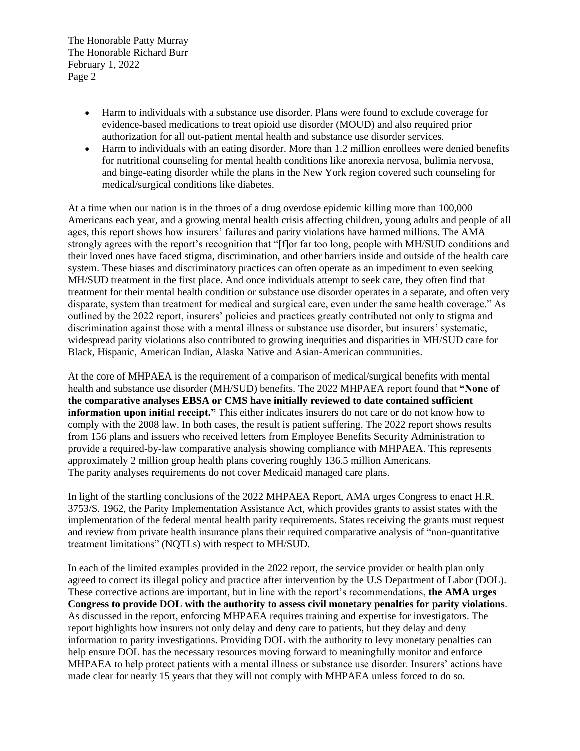The Honorable Patty Murray The Honorable Richard Burr February 1, 2022 Page 2

- Harm to individuals with a substance use disorder. Plans were found to exclude coverage for evidence-based medications to treat opioid use disorder (MOUD) and also required prior authorization for all out-patient mental health and substance use disorder services.
- Harm to individuals with an eating disorder. More than 1.2 million enrollees were denied benefits for nutritional counseling for mental health conditions like anorexia nervosa, bulimia nervosa, and binge-eating disorder while the plans in the New York region covered such counseling for medical/surgical conditions like diabetes.

At a time when our nation is in the throes of a drug overdose epidemic killing more than 100,000 Americans each year, and a growing mental health crisis affecting children, young adults and people of all ages, this report shows how insurers' failures and parity violations have harmed millions. The AMA strongly agrees with the report's recognition that "[f]or far too long, people with MH/SUD conditions and their loved ones have faced stigma, discrimination, and other barriers inside and outside of the health care system. These biases and discriminatory practices can often operate as an impediment to even seeking MH/SUD treatment in the first place. And once individuals attempt to seek care, they often find that treatment for their mental health condition or substance use disorder operates in a separate, and often very disparate, system than treatment for medical and surgical care, even under the same health coverage." As outlined by the 2022 report, insurers' policies and practices greatly contributed not only to stigma and discrimination against those with a mental illness or substance use disorder, but insurers' systematic, widespread parity violations also contributed to growing inequities and disparities in MH/SUD care for Black, Hispanic, American Indian, Alaska Native and Asian-American communities.

At the core of MHPAEA is the requirement of a comparison of medical/surgical benefits with mental health and substance use disorder (MH/SUD) benefits. The 2022 MHPAEA report found that **"None of the comparative analyses EBSA or CMS have initially reviewed to date contained sufficient information upon initial receipt."** This either indicates insurers do not care or do not know how to comply with the 2008 law. In both cases, the result is patient suffering. The 2022 report shows results from 156 plans and issuers who received letters from Employee Benefits Security Administration to provide a required-by-law comparative analysis showing compliance with MHPAEA. This represents approximately 2 million group health plans covering roughly 136.5 million Americans. The parity analyses requirements do not cover Medicaid managed care plans.

In light of the startling conclusions of the 2022 MHPAEA Report, AMA urges Congress to enact H.R. 3753/S. 1962, the Parity Implementation Assistance Act, which provides grants to assist states with the implementation of the federal mental health parity requirements. States receiving the grants must request and review from private health insurance plans their required comparative analysis of "non-quantitative treatment limitations" (NQTLs) with respect to MH/SUD.

In each of the limited examples provided in the 2022 report, the service provider or health plan only agreed to correct its illegal policy and practice after intervention by the U.S Department of Labor (DOL). These corrective actions are important, but in line with the report's recommendations, **the AMA urges Congress to provide DOL with the authority to assess civil monetary penalties for parity violations**. As discussed in the report, enforcing MHPAEA requires training and expertise for investigators. The report highlights how insurers not only delay and deny care to patients, but they delay and deny information to parity investigations. Providing DOL with the authority to levy monetary penalties can help ensure DOL has the necessary resources moving forward to meaningfully monitor and enforce MHPAEA to help protect patients with a mental illness or substance use disorder. Insurers' actions have made clear for nearly 15 years that they will not comply with MHPAEA unless forced to do so.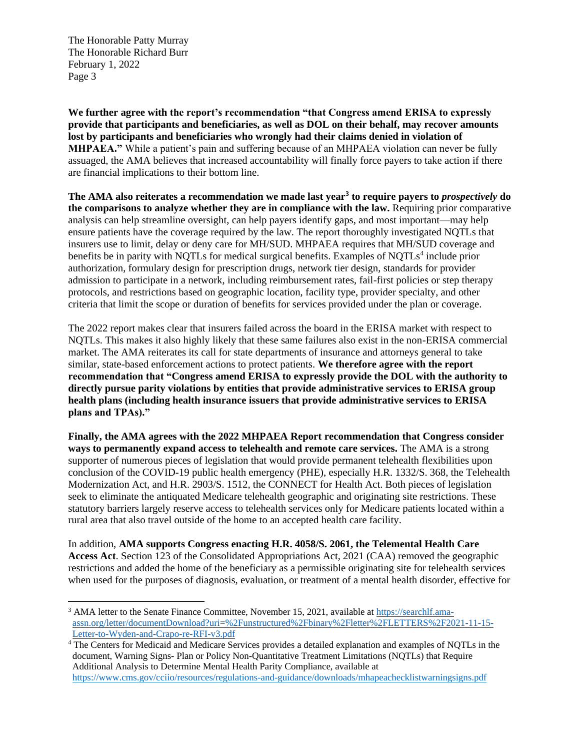The Honorable Patty Murray The Honorable Richard Burr February 1, 2022 Page 3

**We further agree with the report's recommendation "that Congress amend ERISA to expressly provide that participants and beneficiaries, as well as DOL on their behalf, may recover amounts lost by participants and beneficiaries who wrongly had their claims denied in violation of MHPAEA."** While a patient's pain and suffering because of an MHPAEA violation can never be fully assuaged, the AMA believes that increased accountability will finally force payers to take action if there are financial implications to their bottom line.

**The AMA also reiterates a recommendation we made last year<sup>3</sup> to require payers to** *prospectively* **do the comparisons to analyze whether they are in compliance with the law.** Requiring prior comparative analysis can help streamline oversight, can help payers identify gaps, and most important—may help ensure patients have the coverage required by the law. The report thoroughly investigated NQTLs that insurers use to limit, delay or deny care for MH/SUD. MHPAEA requires that MH/SUD coverage and benefits be in parity with NQTLs for medical surgical benefits. Examples of NQTLs<sup>4</sup> include prior authorization, formulary design for prescription drugs, network tier design, standards for provider admission to participate in a network, including reimbursement rates, fail-first policies or step therapy protocols, and restrictions based on geographic location, facility type, provider specialty, and other criteria that limit the scope or duration of benefits for services provided under the plan or coverage.

The 2022 report makes clear that insurers failed across the board in the ERISA market with respect to NQTLs. This makes it also highly likely that these same failures also exist in the non-ERISA commercial market. The AMA reiterates its call for state departments of insurance and attorneys general to take similar, state-based enforcement actions to protect patients. **We therefore agree with the report recommendation that "Congress amend ERISA to expressly provide the DOL with the authority to directly pursue parity violations by entities that provide administrative services to ERISA group health plans (including health insurance issuers that provide administrative services to ERISA plans and TPAs)."**

**Finally, the AMA agrees with the 2022 MHPAEA Report recommendation that Congress consider ways to permanently expand access to telehealth and remote care services.** The AMA is a strong supporter of numerous pieces of legislation that would provide permanent telehealth flexibilities upon conclusion of the COVID-19 public health emergency (PHE), especially H.R. 1332/S. 368, the Telehealth Modernization Act, and H.R. 2903/S. 1512, the CONNECT for Health Act. Both pieces of legislation seek to eliminate the antiquated Medicare telehealth geographic and originating site restrictions. These statutory barriers largely reserve access to telehealth services only for Medicare patients located within a rural area that also travel outside of the home to an accepted health care facility.

In addition, **AMA supports Congress enacting H.R. 4058/S. 2061, the Telemental Health Care Access Act**. Section 123 of the Consolidated Appropriations Act, 2021 (CAA) removed the geographic restrictions and added the home of the beneficiary as a permissible originating site for telehealth services when used for the purposes of diagnosis, evaluation, or treatment of a mental health disorder, effective for

<sup>3</sup> AMA letter to the Senate Finance Committee, November 15, 2021, available at [https://searchlf.ama](https://searchlf.ama-assn.org/letter/documentDownload?uri=%2Funstructured%2Fbinary%2Fletter%2FLETTERS%2F2021-11-15-Letter-to-Wyden-and-Crapo-re-RFI-v3.pdf)[assn.org/letter/documentDownload?uri=%2Funstructured%2Fbinary%2Fletter%2FLETTERS%2F2021-11-15-](https://searchlf.ama-assn.org/letter/documentDownload?uri=%2Funstructured%2Fbinary%2Fletter%2FLETTERS%2F2021-11-15-Letter-to-Wyden-and-Crapo-re-RFI-v3.pdf) [Letter-to-Wyden-and-Crapo-re-RFI-v3.pdf](https://searchlf.ama-assn.org/letter/documentDownload?uri=%2Funstructured%2Fbinary%2Fletter%2FLETTERS%2F2021-11-15-Letter-to-Wyden-and-Crapo-re-RFI-v3.pdf)

<sup>4</sup> The Centers for Medicaid and Medicare Services provides a detailed explanation and examples of NQTLs in the document, Warning Signs- Plan or Policy Non-Quantitative Treatment Limitations (NQTLs) that Require Additional Analysis to Determine Mental Health Parity Compliance, available at <https://www.cms.gov/cciio/resources/regulations-and-guidance/downloads/mhapeachecklistwarningsigns.pdf>